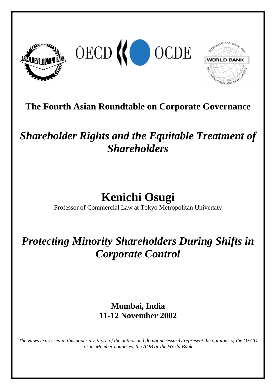





# **The Fourth Asian Roundtable on Corporate Governance**

# *Shareholder Rights and the Equitable Treatment of Shareholders*

# **Kenichi Osugi**

Professor of Commercial Law at Tokyo Metropolitan University

# *Protecting Minority Shareholders During Shifts in Corporate Control*

## **Mumbai, India 11-12 November 2002**

*The views expressed in this paper are those of the author and do not necessarily represent the opinions of the OECD or its Member countries, the ADB or the World Bank*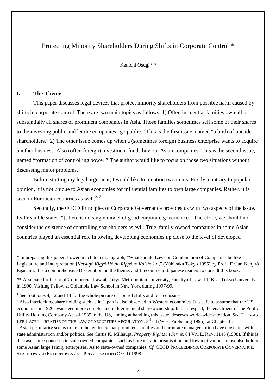## Protecting Minority Shareholders During Shifts in Corporate Control \*

Kenichi Osugi \*\*

### **I. The Theme**

This paper discusses legal devices that protect minority shareholders from possible harm caused by shifts in corporate control. There are two main topics as follows. 1) Often influential families own all or substantially all shares of prominent companies in Asia. Those families sometimes sell some of their shares to the investing public and let the companies "go public." This is the first issue, named "a birth of outside shareholders." 2) The other issue comes up when a (sometimes foreign) business enterprise wants to acquire another business. Also (often foreign) investment funds buy out Asian companies. This is the second issue, named "formation of controlling power." The author would like to focus on those two situations without discussing minor problems.<sup>1</sup>

Before starting my legal argument, I would like to mention two items. Firstly, contrary to popular opinion, it is not unique to Asian economies for influential families to own large companies. Rather, it is seen in European countries as well.<sup>2, 3</sup>

Secondly, the OECD Principles of Corporate Governance provides us with two aspects of the issue. Its Preamble states, "[t]here is no single model of good corporate governance." Therefore, we should not consider the existence of controlling shareholders as evil. True, family-owned companies in some Asian countries played an essential role in towing developing economies up close to the level of developed

<sup>\*</sup> In preparing this paper, I owed much to a monograph, "What should Laws on Combination of Companies be like – Legislature and Interpretation [*Ketsugô Kigyô Hô no Rippô to Kaishaku*]," (Yûhikaku Tokyo 1995) by Prof., Dr.iur. Kenjirô Egashira. It is a comprehensive Dissertation on the theme, and I recommend Japanese readers to consult this book.

**<sup>\*\*</sup>** Associate Professor of Commercial Law at Tokyo Metropolitan University, Faculty of Law. LL.B. at Tokyo University in 1990. Visiting Fellow at Columbia Law School in New York during 1997-99.

<sup>&</sup>lt;sup>1</sup> See footnotes 4, 12 and 18 for the whole picture of control shifts and related issues.

 $<sup>2</sup>$  Also interlocking share holding such as in Japan is also observed in Western economies. It is safe to assume that the US</sup> economies in 1920s was even more complicated in hierarchical share ownership. In that respect, the enactment of the Public Utility Holding Company Act of 1935 in the US, aiming at handling this issue, deserves world-wide attention. *See* THOMAS LEE HAZEN, TREATISE ON THE LAW OF SECURITIES REGULATION, 3<sup>rd</sup> ed (West Publishing 1995), at Chapter 15.

 $3$  Asian peculiarity seems to lie in the tendency that prominent families and corporate managers often have close ties with state administration and/or politics. *See* Curtis K. Milhaupt, *Property Rights in Firms*, 84 VA. L. REV. 1145 (1998). If this is the case, some concerns in state-owned companies, such as bureaucratic organisation and low motivations, must also hold in some Asian large family enterprises. As to state-owned companies, *Cf.* OECD PROCEEDINGS, CORPORATE GOVERNANCE, STATE-OWNED ENTERPRISES AND PRIVATISATION (OECD 1998).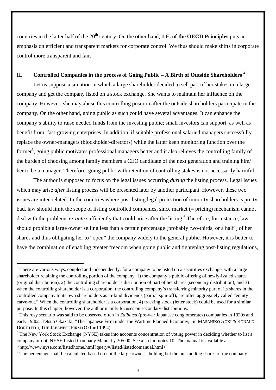countries in the latter half of the 20<sup>th</sup> century. On the other hand, **1.E. of the OECD Principles** puts an emphasis on efficient and transparent markets for corporate control. We thus should make shifts in corporate control more transparent and fair.

### **II. Controlled Companies in the process of Going Public – A Birth of Outside Shareholders** <sup>4</sup>

Let us suppose a situation in which a large shareholder decided to sell part of her stakes in a large company and get the company listed on a stock exchange. She wants to maintain her influence on the company. However, she may abuse this controlling position after the outside shareholders participate in the company. On the other hand, going public as such could have several advantages. It can enhance the company's ability to raise needed funds from the investing public; small investors can support, as well as benefit from, fast-growing enterprises. In addition, if suitable professional salaried managers successfully replace the owner-managers (blockholder-directors) while the latter keep monitoring function over the former<sup>5</sup>, going public motivates professional managers better and it also relieves the controlling family of the burden of choosing among family members a CEO candidate of the next generation and training him/ her to be a manager. Therefore, going public with retention of controlling stakes is not necessarily harmful.

The author is supposed to focus on the legal issues occurring *during* the listing process. Legal issues which may arise *after* listing process will be presented later by another participant. However, these two issues are inter-related. In the countries where post-listing legal protection of minority shareholders is pretty bad, law should limit the scope of listing controlled companies, since market (= pricing) mechanism cannot deal with the problems *ex ante* sufficiently that could arise after the listing.<sup>6</sup> Therefore, for instance, law should prohibit a large owner selling less than a certain percentage [probably two-thirds, or a half<sup>7</sup>] of her shares and thus obligating her to "open" the company widely to the general public. However, it is better to have the combination of enabling greater freedom when going public and tightening post-listing regulations,

<sup>&</sup>lt;sup>4</sup> There are various ways, coupled and independently, for a company to be listed on a securities exchange, with a large shareholder retaining the controlling portion of the company. 1) the company's public offering of newly-issued shares (original distribution), 2) the controlling shareholder's distribution of part of her shares (secondary distribution), and 3) when the controlling shareholder is a corporation, the controlling company's transferring minority part of its shares in the controlled company to its own shareholders as in-kind dividends (partial spin-off), are often aggregately called "equity carve-out." When the controlling shareholder is a corporation, 4) tracking stock (letter stock) could be used for a similar purpose. In this chapter, however, the author mainly focuses on secondary distributions.

<sup>5</sup> This rosy scenario was said to be observed often in *Zaibatsu* (pre-war Japanese conglomerates) companies in 1920s and early 1930s. Tetsuo Okazaki, "The Japanese Firm under the Wartime Planned Economy," in MASAHIKO AOKI & RONALD DORE (ED.), THE JAPANESE FIRM (Oxford 1994).

<sup>&</sup>lt;sup>6</sup> The New York Stock Exchange (NYSE) takes into accounts concentration of voting power in deciding whether to list a company or not. NYSE Listed Company Manual § 305.00. See also footnotes 10. The manual is available at <http://www.nyse.com/listedhome.html?query=/listed/listedcomanual.html>

<sup>&</sup>lt;sup>7</sup> The percentage shall be calculated based on not the large owner's holding but the outstanding shares of the company.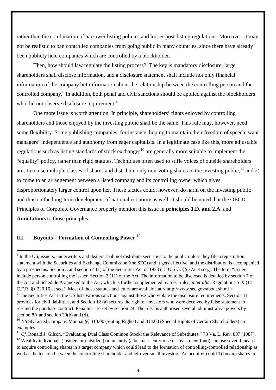rather than the combination of narrower listing policies and looser post-listing regulations. Moreover, it may not be realistic to ban controlled companies from going public in many countries, since there have already been publicly held companies which are controlled by a blockholder.

Then, how should law regulate the listing process? The key is mandatory disclosure: large shareholders shall disclose information, and a disclosure statement shall include not only financial information of the company but information about the relationship between the controlling person and the controlled company.<sup>8</sup> In addition, both penal and civil sanctions should be applied against the blockholders who did not observe disclosure requirement.<sup>9</sup>

One more issue is worth attention. In principle, shareholders' rights enjoyed by controlling shareholders and those enjoyed by the investing public shall be the same. This rule may, however, need some flexibility. Some publishing companies, for instance, hoping to maintain their freedom of speech, want managers' independence and autonomy from eager capitalists. In a legitimate case like this, more adjustable regulations such as listing standards of stock exchanges<sup>10</sup> are generally more suitable to implement the "equality" policy, rather than rigid statutes. Techniques often used to stifle voices of outside shareholders are, 1) to use multiple classes of shares and distribute only non-voting shares to the investing public,  $^{11}$  and 2) to come to an arrangement between a listed company and its controlling owner which gives disproportionately larger control upon her. These tactics could, however, do harm on the investing public and thus on the long-term development of national economy as well. It should be noted that the OECD Principles of Corporate Governance properly mention this issue in **principles 1.D. and 2.A.** and **Annotations** to those principles.

### **III. Buyouts – Formation of Controlling Power** <sup>12</sup>

<sup>&</sup>lt;sup>8</sup> In the US, issuers, underwriters and dealers shall not distribute securities to the public unless they file a registration statement with the Securities and Exchange Commission (the SEC) and it gets effective, and the distribution is accompanied by a prospectus. Section 5 and section 4 (1) of the Securities Act of 1933 (15 U.S.C. §§ 77a et seq.). The term "issuer" include person controlling the issuer. Section 2 (11) of the Act. The information to be disclosed is detailed by section 7 of the Act and Schedule A annexed to the Act, which is further supplemented by SEC rules, *inter alia*, Regulations S-X (17 C.F.R. §§ 229.10 et seq.). Most of those statutes and rules are available at < http://www.sec.gov/about.shtml >

<sup>&</sup>lt;sup>9</sup> The Securities Act in the US lists various sanctions against those who violate the disclosure requirements. Section 11 provides for civil liabilities, and Section 12 (a) secures the right of investors who were deceived by false statement to rescind the purchase contract. Penalties are set by section 24. The SEC is authorised several administrative powers by section 8A and section 20(b) and (d).

<sup>&</sup>lt;sup>10</sup> NYSE Listed Company Manual §§ 313.00 (Voting Rights) and 314.00 (Special Rights of Certain Shareholders) are examples.

<sup>&</sup>lt;sup>11</sup> *Cf.* Ronald J. Gilson, "Evaluating Dual Class Common Stock: the Relevance of Substitutes," 73 Va. L. Rev. 807 (1987).

 $12$  Wealthy individuals (insiders or outsiders) or an entity (a business enterprise or investment fund) can use several means to acquire controlling shares in a target company which could lead to the formation of controlling-controlled relationship as well as the tension between the controlling shareholder and leftover small investors. An acquirer could 1) buy up shares in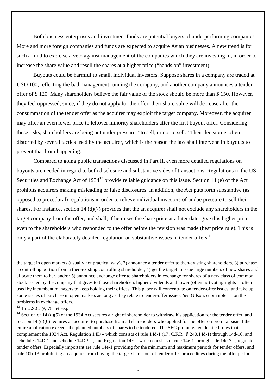Both business enterprises and investment funds are potential buyers of underperforming companies. More and more foreign companies and funds are expected to acquire Asian businesses. A new trend is for such a fund to exercise a veto against management of the companies which they are investing in, in order to increase the share value and resell the shares at a higher price ("hands on" investment).

Buyouts could be harmful to small, individual investors. Suppose shares in a company are traded at USD 100, reflecting the bad management running the company, and another company announces a tender offer of \$ 120. Many shareholders believe the fair value of the stock should be more than \$ 150. However, they feel oppressed, since, if they do not apply for the offer, their share value will decrease after the consummation of the tender offer as the acquirer may exploit the target company. Moreover, the acquirer may offer an even lower price to leftover minority shareholders after the first buyout offer. Considering these risks, shareholders are being put under pressure, "to sell, or not to sell." Their decision is often distorted by several tactics used by the acquirer, which is the reason the law shall intervene in buyouts to prevent that from happening.

Compared to going public transactions discussed in Part II, even more detailed regulations on buyouts are needed in regard to both disclosure and substantive sides of transactions. Regulations in the US Securities and Exchange Act of  $1934^{13}$  provide reliable guidance on this issue. Section 14 (e) of the Act prohibits acquirers making misleading or false disclosures. In addition, the Act puts forth substantive (as opposed to procedural) regulations in order to relieve individual investors of undue pressure to sell their shares. For instance, section 14 (d)(7) provides that the an acquirer shall not exclude any shareholders in the target company from the offer, and shall, if he raises the share price at a later date, give this higher price even to the shareholders who responded to the offer before the revision was made (best price rule). This is only a part of the elaborately detailed regulation on substantive issues in tender offers.<sup>14</sup>

<sup>13</sup> 15 U.S.C. §§ 78a et seq.

 $14$  Section of 14 (d)(5) of the 1934 Act secures a right of shareholder to withdraw his application for the tender offer, and Section 14 (d)(6) requires an acquirer to purchase from all shareholders who applied for the offer on pro rata basis if the entire application exceeds the planned numbers of shares to be tendered. The SEC promulgated detailed rules that complement the 1934 Act. Regulation 14D **–** which consists of rule 14d-1 (17. C.F.R. 240.14d-1) through 14d-10, and schedules 14D-1 and schedule 14D-9 **–**, and Regulation 14E **–** which consists of rule 14e-1 through rule 14e-7 **–**, regulate tender offers. Especially important are rule 14e-1 providing for the minimum and maximum periods for tender offers, and rule 10b-13 prohibiting an acquirer from buying the target shares out of tender offer proceedings during the offer period.

the target in open markets (usually not practical way), 2) announce a tender offer to then-existing shareholders, 3) purchase a controlling portion from a then-existing controlling shareholder, 4) get the target to issue large numbers of new shares and allocate them to her, and/or 5) announce exchange offer to shareholders in exchange for shares of a new class of common stock issued by the company that gives to those shareholders higher dividends and lower (often no) voting rights— often used by incumbent managers to keep holding their offices. This paper will concentrate on tender-offer issues, and take up some issues of purchase in open markets as long as they relate to tender-offer issues. *See* Gilson, supra note 11 on the problems in exchange offers.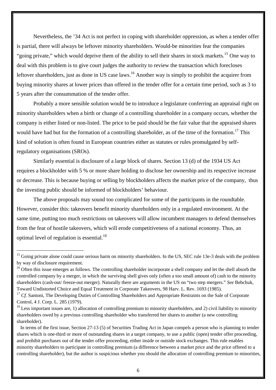Nevertheless, the '34 Act is not perfect in coping with shareholder oppression, as when a tender offer is partial, there will always be leftover minority shareholders. Would-be minorities fear the companies "going private," which would deprive them of the ability to sell their shares in stock markets.<sup>15</sup> One way to deal with this problem is to give court judges the authority to review the transaction which forecloses leftover shareholders, just as done in US case laws.<sup>16</sup> Another way is simply to prohibit the acquirer from buying minority shares at lower prices than offered in the tender offer for a certain time period, such as 3 to 5 years after the consummation of the tender offer.

Probably a more sensible solution would be to introduce a legislature conferring an appraisal right on minority shareholders when a birth or change of a controlling shareholder in a company occurs, whether the company is either listed or non-listed. The price to be paid should be the fair value that the appraised shares would have had but for the formation of a controlling shareholder, as of the time of the formation.<sup>17</sup> This kind of solution is often found in European countries either as statutes or rules promulgated by selfregulatory organisations (SROs).

Similarly essential is disclosure of a large block of shares. Section 13 (d) of the 1934 US Act requires a blockholder with 5 % or more share holding to disclose her ownership and its respective increase or decrease. This is because buying or selling by blockholders affects the market price of the company, thus the investing public should be informed of blockholders' behaviour.

The above proposals may sound too complicated for some of the participants in the roundtable. However, consider this: takeovers benefit minority shareholders only in a regulated environment. At the same time, putting too much restrictions on takeovers will allow incumbent managers to defend themselves from the fear of hostile takeovers, which will erode competitiveness of a national economy. Thus, an optimal level of regulation is essential.18

<sup>&</sup>lt;sup>15</sup> Going private alone could cause serious harm on minority shareholders. In the US, SEC rule 13e-3 deals with the problem by way of disclosure requirement.

<sup>&</sup>lt;sup>16</sup> Often this issue emerges as follows. The controlling shareholder incorporate a shell company and let the shell absorb the controlled company by a merger, in which the surviving shell gives only (often a too small amount of) cash to the minority shareholders (cash-out/ freeze-out merger). Naturally there are arguments in the US on "two step mergers." *See* Bebchuk, Toward Undistorted Choice and Equal Treatment in Corporate Takeovers, 98 Harv. L. Rev. 1693 (1985).

<sup>&</sup>lt;sup>17</sup> *Cf.* Santoni, The Developing Duties of Controlling Shareholders and Appropriate Restraints on the Sale of Corporate Control, 4 J. Corp. L. 285 (1979).

 $18$  Less important issues are, 1) allocation of controlling premium to minority shareholders, and 2) civil liability to minority shareholders owed by a previous controlling shareholder who transferred her shares to another (a new controlling shareholder).

In terms of the first issue, Section 27-13 (5) of Securities Trading Act in Japan compels a person who is planning to tender shares which is one-third or more of outstanding shares in a target company, to use a public (open) tender offer proceeding, and prohibit purchases out of the tender offer proceeding, either inside or outside stock exchanges. This rule enables minority shareholders to participate in controlling premium (a difference between a market price and the price offered to a controlling shareholder), but the author is suspicious whether you should the allocation of controlling premium to minorities,